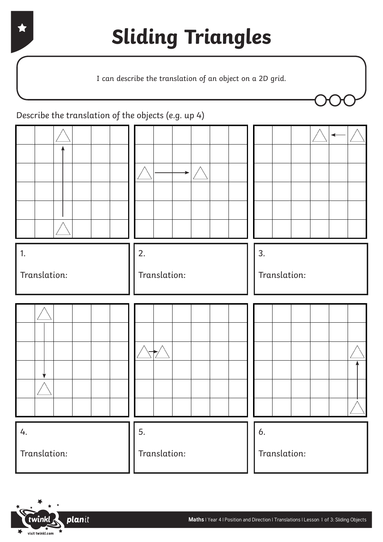I can describe the translation of an object on a 2D grid.

1. Translation: 4. Translation: 2. Translation: 5. Translation: 3. Translation: 6. Translation: Describe the translation of the objects (e.g. up 4)

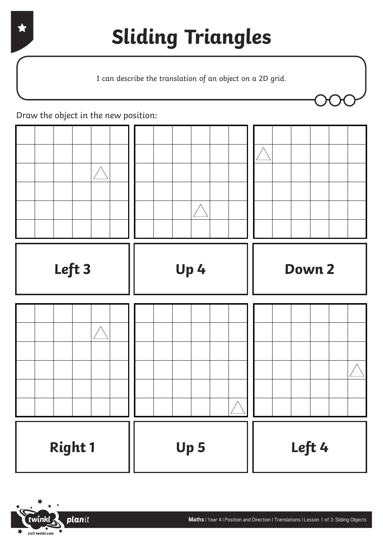I can describe the translation of an object on a 2D grid.



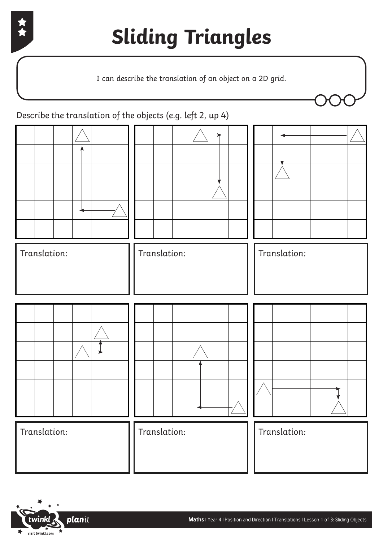

I can describe the translation of an object on a 2D grid.



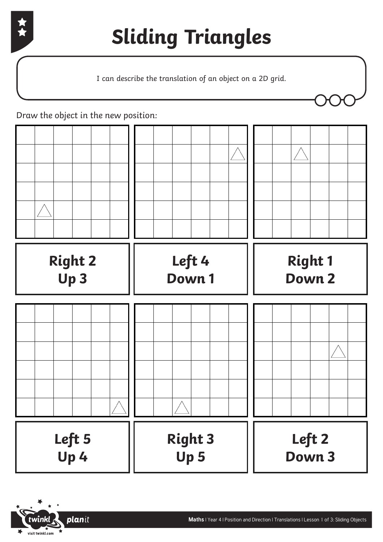

I can describe the translation of an object on a 2D grid.



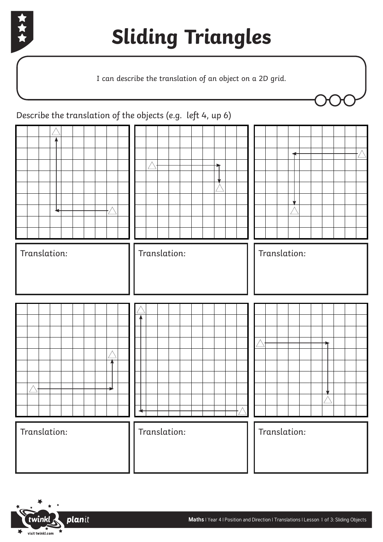

I can describe the translation of an object on a 2D grid.

| Describe the translation of the objects (e.g. left 4, up 6) |              |              |
|-------------------------------------------------------------|--------------|--------------|
|                                                             |              |              |
| Translation:                                                | Translation: | Translation: |
|                                                             |              |              |
| Translation:                                                | Translation: | Translation: |

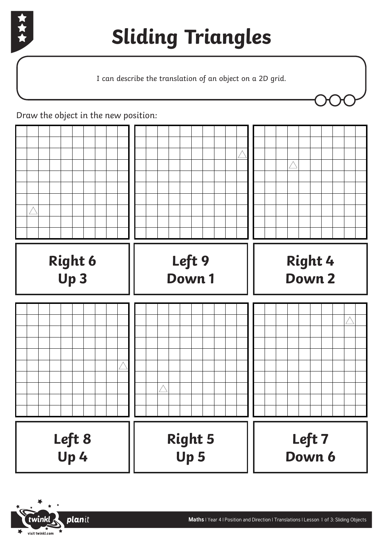

I can describe the translation of an object on a 2D grid.



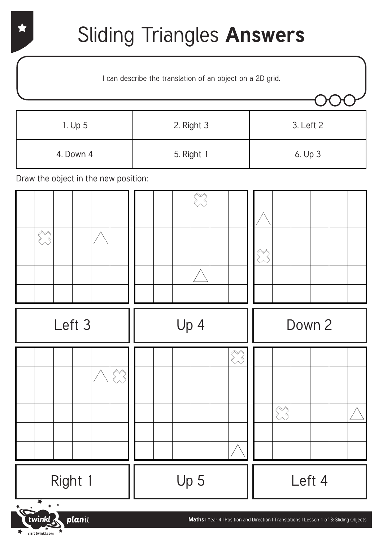#### Sliding Triangles **Answers**

I can describe the translation of an object on a 2D grid.

| 1. Up 5   | 2. Right 3 | 3. Left 2 |
|-----------|------------|-----------|
| 4. Down 4 | 5. Right 1 | 6. Up 3   |

Draw the object in the new position:

visit twinkl.com

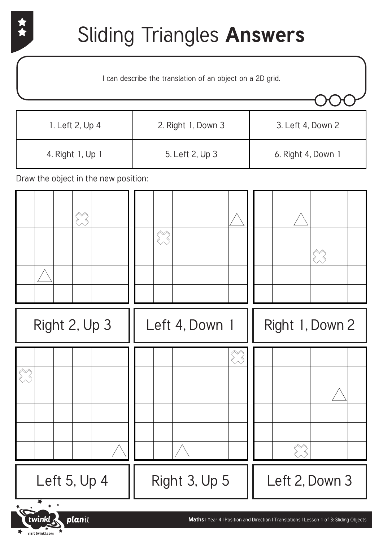$\overline{\phantom{a}}$  visit twinkl.com

## Sliding Triangles **Answers**

I can describe the translation of an object on a 2D grid.

| 1. Left 2, Up 4  | 2. Right 1, Down 3 | 3. Left 4, Down 2  |
|------------------|--------------------|--------------------|
| 4. Right 1, Up 1 | 5. Left 2, Up 3    | 6. Right 4, Down 1 |

| Right 2, Up 3       | Left 4, Down 1 | Right 1, Down 2                                                                         |
|---------------------|----------------|-----------------------------------------------------------------------------------------|
| $\sum_{i=1}^{n}$    |                | $\left\langle \begin{matrix} \nearrow \\ \nearrow \end{matrix} \right\rangle$           |
| Left 5, Up 4        | Right 3, Up 5  | Left 2, Down 3                                                                          |
| Fuvinkl .<br>planit |                | Maths   Year 4   Position and Direction   Translations   Lesson 1 of 3: Sliding Objects |